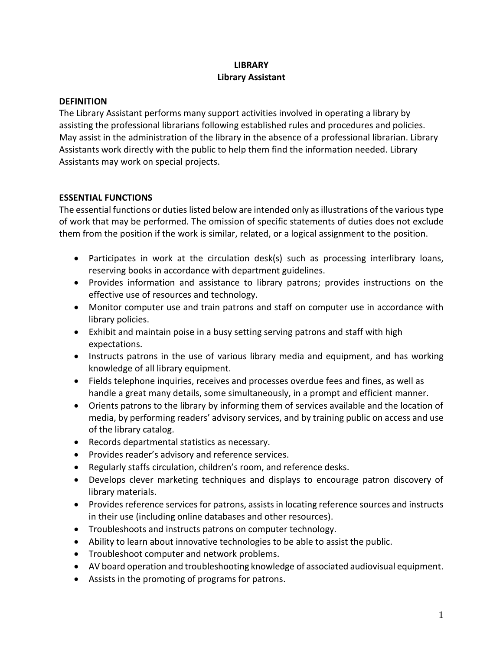# **LIBRARY Library Assistant**

## **DEFINITION**

The Library Assistant performs many support activities involved in operating a library by assisting the professional librarians following established rules and procedures and policies. May assist in the administration of the library in the absence of a professional librarian. Library Assistants work directly with the public to help them find the information needed. Library Assistants may work on special projects.

## **ESSENTIAL FUNCTIONS**

The essential functions or duties listed below are intended only as illustrations of the various type of work that may be performed. The omission of specific statements of duties does not exclude them from the position if the work is similar, related, or a logical assignment to the position.

- Participates in work at the circulation desk(s) such as processing interlibrary loans, reserving books in accordance with department guidelines.
- Provides information and assistance to library patrons; provides instructions on the effective use of resources and technology.
- Monitor computer use and train patrons and staff on computer use in accordance with library policies.
- Exhibit and maintain poise in a busy setting serving patrons and staff with high expectations.
- Instructs patrons in the use of various library media and equipment, and has working knowledge of all library equipment.
- Fields telephone inquiries, receives and processes overdue fees and fines, as well as handle a great many details, some simultaneously, in a prompt and efficient manner.
- Orients patrons to the library by informing them of services available and the location of media, by performing readers' advisory services, and by training public on access and use of the library catalog.
- Records departmental statistics as necessary.
- Provides reader's advisory and reference services.
- Regularly staffs circulation, children's room, and reference desks.
- Develops clever marketing techniques and displays to encourage patron discovery of library materials.
- Provides reference services for patrons, assists in locating reference sources and instructs in their use (including online databases and other resources).
- Troubleshoots and instructs patrons on computer technology.
- Ability to learn about innovative technologies to be able to assist the public.
- Troubleshoot computer and network problems.
- AV board operation and troubleshooting knowledge of associated audiovisual equipment.
- Assists in the promoting of programs for patrons.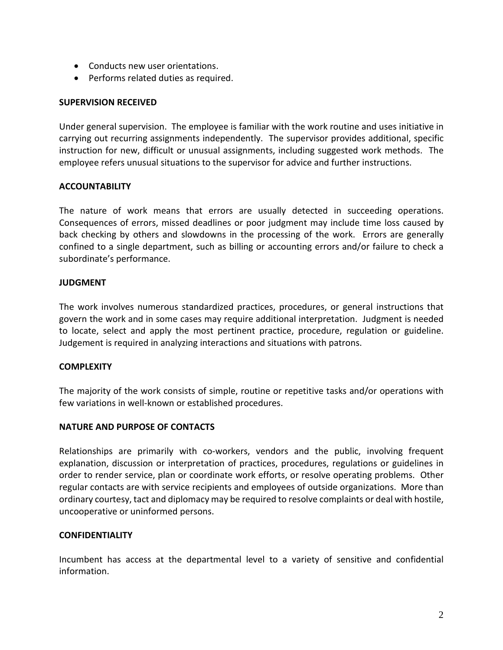- Conducts new user orientations.
- Performs related duties as required.

## **SUPERVISION RECEIVED**

Under general supervision. The employee is familiar with the work routine and uses initiative in carrying out recurring assignments independently. The supervisor provides additional, specific instruction for new, difficult or unusual assignments, including suggested work methods. The employee refers unusual situations to the supervisor for advice and further instructions.

## **ACCOUNTABILITY**

The nature of work means that errors are usually detected in succeeding operations. Consequences of errors, missed deadlines or poor judgment may include time loss caused by back checking by others and slowdowns in the processing of the work. Errors are generally confined to a single department, such as billing or accounting errors and/or failure to check a subordinate's performance.

## **JUDGMENT**

The work involves numerous standardized practices, procedures, or general instructions that govern the work and in some cases may require additional interpretation. Judgment is needed to locate, select and apply the most pertinent practice, procedure, regulation or guideline. Judgement is required in analyzing interactions and situations with patrons.

#### **COMPLEXITY**

The majority of the work consists of simple, routine or repetitive tasks and/or operations with few variations in well-known or established procedures.

#### **NATURE AND PURPOSE OF CONTACTS**

Relationships are primarily with co-workers, vendors and the public, involving frequent explanation, discussion or interpretation of practices, procedures, regulations or guidelines in order to render service, plan or coordinate work efforts, or resolve operating problems. Other regular contacts are with service recipients and employees of outside organizations. More than ordinary courtesy, tact and diplomacy may be required to resolve complaints or deal with hostile, uncooperative or uninformed persons.

#### **CONFIDENTIALITY**

Incumbent has access at the departmental level to a variety of sensitive and confidential information.